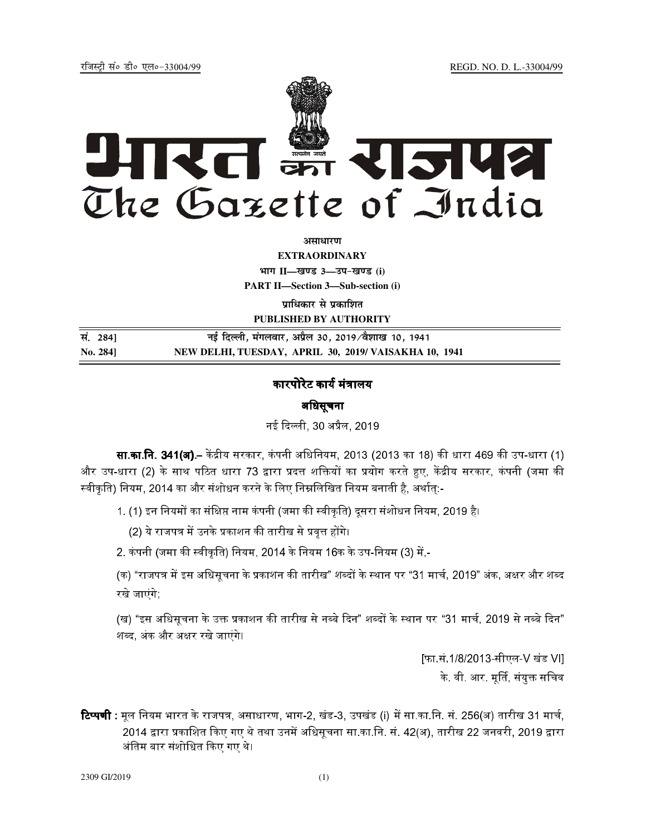REGD. NO. D. L.-33004/99

रजिस्टी सं० डी० एल०-33004/99



अमाधारण

**EXTRAORDINARY** भाग II-खण्ड 3-उप-खण्ड (i)

**PART II-Section 3-Sub-section (i)** 

प्राधिकार से प्रकाशित PUBLISHED BY AUTHORITY

नई दिल्ली, मंगलवार, अप्रैल 30, 2019/वैशाख 10, 1941 सं. 284] NEW DELHI, TUESDAY, APRIL 30, 2019/ VAISAKHA 10, 1941 No. 2841

# कारपोरेट कार्य मंत्रालय

## अधिसूचना

नई दिल्ली, 30 अप्रैल, 2019

**सा.का.नि. 341(अ).**– केंद्रीय सरकार, कंपनी अधिनियम, 2013 (2013 का 18) की धारा 469 की उप-धारा (1) और उप-धारा (2) के साथ पठित धारा 73 द्वारा प्रदत्त शक्तियों का प्रयोग करते हुए, केंद्रीय सरकार, कंपनी (जमा की स्वीकृति) नियम, 2014 का और संशोधन करने के लिए निम्नलिखित नियम बनाती है, अर्थात:-

1. (1) इन नियमों का संक्षिप्त नाम कंपनी (जमा की स्वीकृति) दूसरा संशोधन नियम, 2019 है।

(2) ये राजपत्र में उनके प्रकाशन की तारीख से प्रवृत्त होंगे।

2. कंपनी (जमा की स्वीकृति) नियम, 2014 के नियम 16क के उप-नियम (3) में,-

(क) "राजपत्र में इस अधिसृचना के प्रकाशन की तारीख" शब्दों के स्थान पर "31 मार्च, 2019" अंक, अक्षर और शब्द रखे जाएंगे:

(ख) "इस अधिसूचना के उक्त प्रकाशन की तारीख से नब्बे दिन" शब्दों के स्थान पर "31 मार्च, 2019 से नब्बे दिन" शब्द, अंक और अक्षर रखे जाएंगे।

> [फा.सं.1/8/2013-सीएल-V खंड VII के. वी. आर. मूर्ति, संयुक्त सचिव

**टिप्पणी :** मुल नियम भारत के राजपत्र, असाधारण, भाग-2, खंड-3, उपखंड (i) में सा.का.नि. सं. 256(अ) तारीख 31 मार्च, 2014 द्वारा प्रकाशित किए गए थे तथा उनमें अधिसूचना सा.का.नि. सं. 42(अ), तारीख 22 जनवरी, 2019 द्वारा अंतिम बार संशोधित किए गए थे।